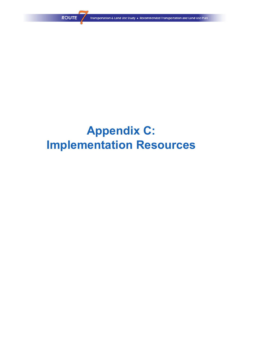# **Appendix C: Implementation Resources**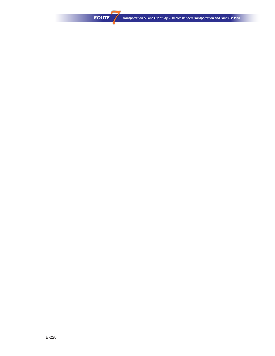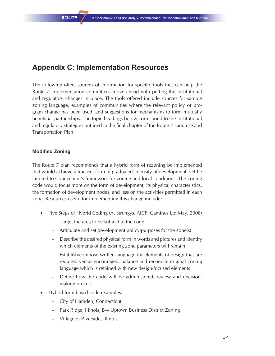## **Appendix C: Implementation Resources**

The following offers sources of information for specific tools that can help the Route 7 implementation committees move ahead with putting the institutional and regulatory changes in place. The tools offered include sources for sample zoning language, examples of communities where the relevant policy or program change has been used, and suggestions for mechanisms to form mutually beneficial partnerships. The topic headings below correspond to the institutional and regulatory strategies outlined in the final chapter of the Route 7 Land use and Transportation Plan.

#### **Modified Zoning**

The Route 7 plan recommends that a hybrid form of rezoning be implemented that would achieve a transect form of graduated intensity of development, yet be tailored to Connecticut's framework for zoning and local conditions. The zoning code would focus more on the form of development, its physical characteristics, the formation of development nodes, and less on the activities permitted in each zone. Resources useful for implementing this change include:

- Five Steps of Hybrid Coding (A. Strungys, AICP; Caminos Ltd.May, 2008)
	- Target the area to be subject to the code
	- Articulate and set development policy-purposes for the zone(s)
	- Describe the desired physical form in words and pictures and identify which elements of the existing zone parameters will remain
	- Establish/compose written language for elements of design that are required versus encouraged; balance and reconcile original zoning language which is retained with new design-focused elements
	- Define how the code will be administered- review and decisionmaking process
- Hybrid form-based code examples:
	- City of Hamden, Connecticut
	- Park Ridge, Illinois, B-4 Uptown Business District Zoning
	- Village of Riverside, Illinois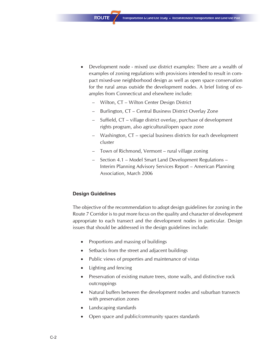- Development node mixed use district examples: There are a wealth of examples of zoning regulations with provisions intended to result in compact mixed-use neighborhood design as well as open space conservation for the rural areas outside the development nodes. A brief listing of examples from Connecticut and elsewhere include:
	- Wilton, CT Wilton Center Design District
	- Burlington, CT Central Business District Overlay Zone
	- Suffield, CT village district overlay, purchase of development rights program, also agricultural/open space zone
	- Washington, CT special business districts for each development cluster
	- Town of Richmond, Vermont rural village zoning
	- Section 4.1 Model Smart Land Development Regulations Interim Planning Advisory Services Report – American Planning Association, March 2006

#### **Design Guidelines**

The objective of the recommendation to adopt design guidelines for zoning in the Route 7 Corridor is to put more focus on the quality and character of development appropriate to each transect and the development nodes in particular. Design issues that should be addressed in the design guidelines include:

- Proportions and massing of buildings
- Setbacks from the street and adjacent buildings
- Public views of properties and maintenance of vistas
- Lighting and fencing
- Preservation of existing mature trees, stone walls, and distinctive rock outcroppings
- Natural buffers between the development nodes and suburban transects with preservation zones
- Landscaping standards
- Open space and public/community spaces standards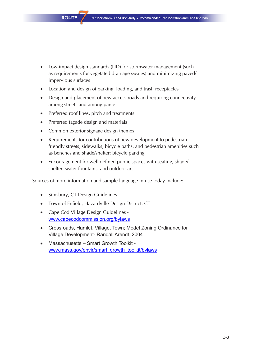- Low-impact design standards (LID) for stormwater management (such as requirements for vegetated drainage swales) and minimizing paved/ impervious surfaces
- Location and design of parking, loading, and trash receptacles
- Design and placement of new access roads and requiring connectivity among streets and among parcels
- Preferred roof lines, pitch and treatments
- Preferred façade design and materials
- Common exterior signage design themes
- Requirements for contributions of new development to pedestrian friendly streets, sidewalks, bicycle paths, and pedestrian amenities such as benches and shade/shelter; bicycle parking
- Encouragement for well-defined public spaces with seating, shade/ shelter, water fountains, and outdoor art

Sources of more information and sample language in use today include:

- Simsbury, CT Design Guidelines
- Town of Enfield, Hazardville Design District, CT
- • Cape Cod Village Design Guidelines www.capecodcommission.org/bylaws
- Crossroads, Hamlet, Village, Town; Model Zoning Ordinance for Village Development- Randall Arendt, 2004
- Massachusetts Smart Growth Toolkit www.mass.gov/envir/smart\_growth\_toolkit/bylaws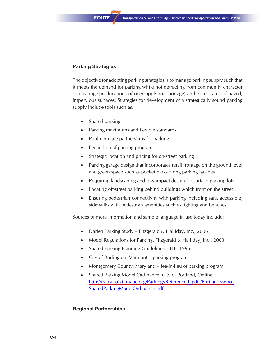#### **Parking Strategies**

The objective for adopting parking strategies is to manage parking supply such that it meets the demand for parking while not detracting from community character or creating spot locations of oversupply (or shortage) and excess area of paved, impervious surfaces. Strategies for development of a strategically sound parking supply include tools such as:

- Shared parking
- Parking maximums and flexible standards
- Public-private partnerships for parking
- Fee-in-lieu of parking programs
- Strategic location and pricing for on-street parking
- Parking garage design that incorporates retail frontage on the ground level and green space such as pocket parks along parking facades
- Requiring landscaping and low-impact-design for surface parking lots
- Locating off-street parking behind buildings which front on the street
- Ensuring pedestrian connectivity with parking including safe, accessible, sidewalks with pedestrian amenities such as lighting and benches

Sources of more information and sample language in use today include:

- Darien Parking Study Fitzgerald & Halliday, Inc., 2006
- Model Regulations for Parking, Fitzgerald & Halliday, Inc., 2003
- Shared Parking Planning Guidelines ITE, 1995
- City of Burlington, Vermont parking program
- Montgomery County, Maryland fee-in-lieu of parking program
- Shared Parking Model Ordinance, City of Portland, Online: http://transtoolkit.mapc.org/Parking//Referenced\_pdfs/PortlandMetro\_ SharedParkingModelOrdinance.pdf

#### **Regional Partnerships**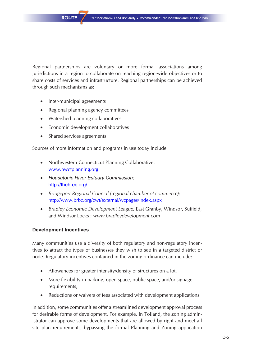Regional partnerships are voluntary or more formal associations among jurisdictions in a region to collaborate on reaching region-wide objectives or to share costs of services and infrastructure. Regional partnerships can be achieved through such mechanisms as:

- Inter-municipal agreements
- Regional planning agency committees
- • Watershed planning collaboratives
- Economic development collaboratives
- Shared services agreements

Sources of more information and programs in use today include:

- Northwestern Connecticut Planning Collaborative; www.nwctplanning.org
- • *Housatonic River Estuary Commission;*  http://thehrec.org/
- *Bridgeport Regional Council (regional chamber of commerce);* http://www.brbc.org/cwt/external/wcpages/index.aspx
- • *Bradley Economic Development League;* East Granby, Windsor, Suffield, and Windsor Locks ; *www.bradleydevelopment.com*

### **Development Incentives**

Many communities use a diversity of both regulatory and non-regulatory incentives to attract the types of businesses they wish to see in a targeted district or node. Regulatory incentives contained in the zoning ordinance can include:

- Allowances for greater intensity/density of structures on a lot,
- More flexibility in parking, open space, public space, and/or signage requirements,
- Reductions or waivers of fees associated with development applications

In addition, some communities offer a streamlined development approval process for desirable forms of development. For example, in Tolland, the zoning administrator can approve some developments that are allowed by right and meet all site plan requirements, bypassing the formal Planning and Zoning application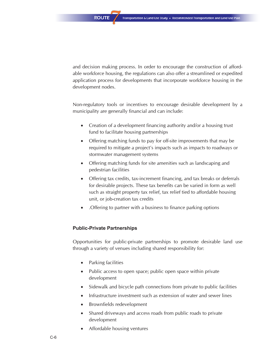and decision making process. In order to encourage the construction of affordable workforce housing, the regulations can also offer a streamlined or expedited application process for developments that incorporate workforce housing in the development nodes.

Non-regulatory tools or incentives to encourage desirable development by a municipality are generally financial and can include:

- Creation of a development financing authority and/or a housing trust fund to facilitate housing partnerships
- Offering matching funds to pay for off-site improvements that may be required to mitigate a project's impacts such as impacts to roadways or stormwater management systems
- Offering matching funds for site amenities such as landscaping and pedestrian facilities
- Offering tax credits, tax-increment financing, and tax breaks or deferrals for desirable projects. These tax benefits can be varied in form as well such as straight property tax relief, tax relief tied to affordable housing unit, or job-creation tax credits
- . Offering to partner with a business to finance parking options

#### **Public-Private Partnerships**

Opportunities for public-private partnerships to promote desirable land use through a variety of venues including shared responsibility for:

- Parking facilities
- Public access to open space; public open space within private development
- Sidewalk and bicycle path connections from private to public facilities
- Infrastructure investment such as extension of water and sewer lines
- **Brownfields redevelopment**
- Shared driveways and access roads from public roads to private development
- Affordable housing ventures